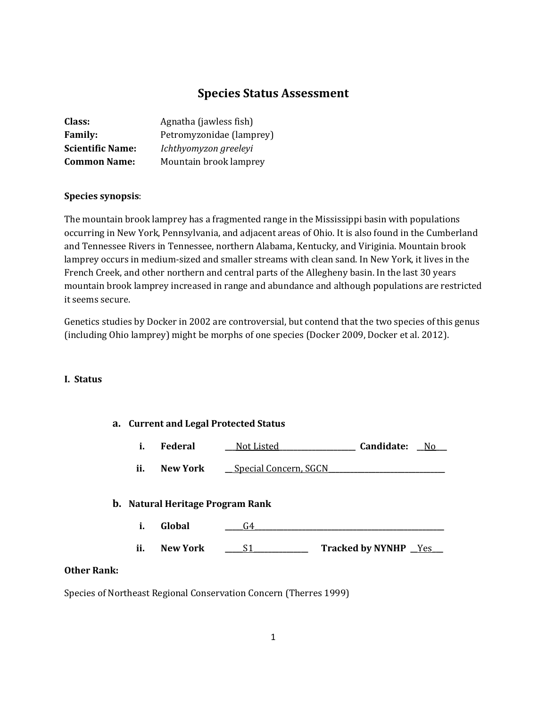## **Species Status Assessment**

| Class:                  | Agnatha (jawless fish)   |
|-------------------------|--------------------------|
| <b>Family:</b>          | Petromyzonidae (lamprey) |
| <b>Scientific Name:</b> | Ichthyomyzon greeleyi    |
| <b>Common Name:</b>     | Mountain brook lamprey   |

#### **Species synopsis**:

The mountain brook lamprey has a fragmented range in the Mississippi basin with populations occurring in New York, Pennsylvania, and adjacent areas of Ohio. It is also found in the Cumberland and Tennessee Rivers in Tennessee, northern Alabama, Kentucky, and Viriginia. Mountain brook lamprey occurs in medium-sized and smaller streams with clean sand. In New York, it lives in the French Creek, and other northern and central parts of the Allegheny basin. In the last 30 years mountain brook lamprey increased in range and abundance and although populations are restricted it seems secure.

Genetics studies by Docker in 2002 are controversial, but contend that the two species of this genus (including Ohio lamprey) might be morphs of one species (Docker 2009, Docker et al. 2012).

#### **I. Status**

# **a. Current and Legal Protected Status i. Federal \_\_\_**Not Listed**\_\_\_\_\_\_\_\_\_\_\_\_\_\_\_\_\_\_\_\_\_ Candidate: \_\_**No**\_\_\_** ii. New York **\_\_** Special Concern, SGCN **b. Natural Heritage Program Rank i. Global \_\_\_\_\_**G4**\_\_\_\_\_\_\_\_\_\_\_\_\_\_\_\_\_\_\_\_\_\_\_\_\_\_\_\_\_\_\_\_\_\_\_\_\_\_\_\_\_\_\_\_\_\_\_\_\_\_\_\_ ii. New York \_\_\_\_\_**S1**\_\_\_\_\_\_\_\_\_\_\_\_\_\_\_ Tracked by NYNHP \_\_**Yes**\_\_\_ Other Rank:** Species of Northeast Regional Conservation Concern (Therres 1999)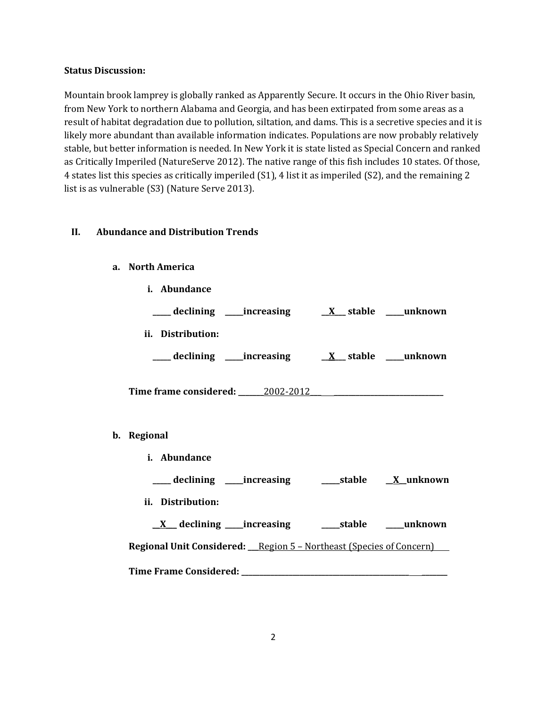#### **Status Discussion:**

Mountain brook lamprey is globally ranked as Apparently Secure. It occurs in the Ohio River basin, from New York to northern Alabama and Georgia, and has been extirpated from some areas as a result of habitat degradation due to pollution, siltation, and dams. This is a secretive species and it is likely more abundant than available information indicates. Populations are now probably relatively stable, but better information is needed. In New York it is state listed as Special Concern and ranked as Critically Imperiled (NatureServe 2012). The native range of this fish includes 10 states. Of those, 4 states list this species as critically imperiled (S1), 4 list it as imperiled (S2), and the remaining 2 list is as vulnerable (S3) (Nature Serve 2013).

#### **II. Abundance and Distribution Trends**

#### **a. North America**

| i. Abundance                     |  |
|----------------------------------|--|
|                                  |  |
| ii. Distribution:                |  |
|                                  |  |
| Time frame considered: 2002-2012 |  |
| b. Regional                      |  |
| <i>i.</i> Abundance              |  |

| declining | increasing | stable | X unknown |
|-----------|------------|--------|-----------|
|-----------|------------|--------|-----------|

**ii. Distribution:**

\_\_**X**\_\_\_ **declining \_\_\_\_\_increasing \_\_\_\_\_stable \_\_\_\_\_unknown Regional Unit Considered: \_\_\_**Region 5 – Northeast (Species of Concern) **Time Frame Considered: \_\_\_\_\_\_\_\_\_\_\_\_\_\_\_\_\_\_\_\_\_\_\_\_\_\_\_\_\_\_\_\_\_\_\_\_\_\_\_\_\_\_\_\_\_\_ \_\_\_\_\_\_\_**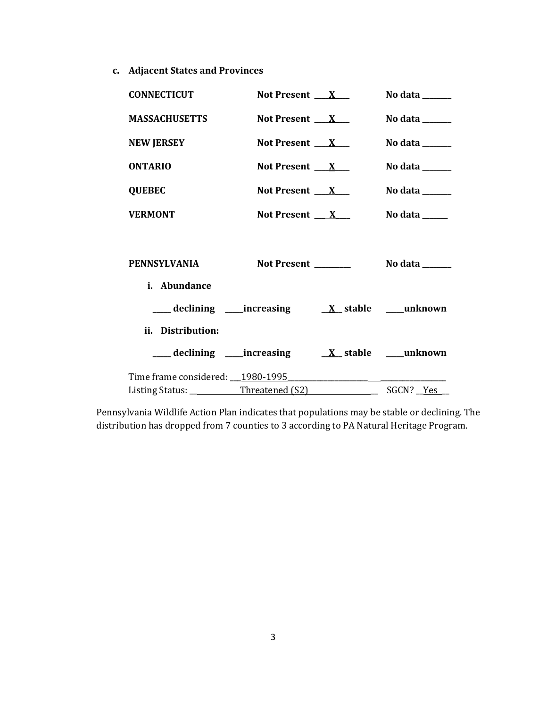**c. Adjacent States and Provinces**

| <b>CONNECTICUT</b>               | Not Present $\mathbf{X}$ |                                                                            | No data $\_\_\_\_\_\_\_\_\_\_\_\_\$        |
|----------------------------------|--------------------------|----------------------------------------------------------------------------|--------------------------------------------|
| <b>MASSACHUSETTS</b>             | Not Present $\mathbf{X}$ |                                                                            | No data ______                             |
| <b>NEW JERSEY</b>                | Not Present $\mathbf{X}$ |                                                                            | No data $\_\_$                             |
| <b>ONTARIO</b>                   | Not Present $X_{-}$      |                                                                            | No data $\_\_\_\_\_\_\_\_\_\_\_\_\$        |
| <b>QUEBEC</b>                    | Not Present $\_\_X$      |                                                                            | No data $\_\_\_\_\_\_\_\_\_\_\_\_\_\_\_\_$ |
| <b>VERMONT</b>                   | Not Present $\mathbf{X}$ |                                                                            | No data $\_\_\_\_\_\_\_\_\_\_\$            |
|                                  |                          |                                                                            |                                            |
| PENNSYLVANIA                     | Not Present _______      |                                                                            | No data $\_\_$                             |
| i. Abundance                     |                          |                                                                            |                                            |
|                                  |                          |                                                                            |                                            |
| ii. Distribution:                |                          |                                                                            |                                            |
|                                  |                          |                                                                            |                                            |
| Time frame considered: 1980-1995 |                          | the control of the control of the control of the control of the control of |                                            |
|                                  |                          |                                                                            |                                            |

Pennsylvania Wildlife Action Plan indicates that populations may be stable or declining. The distribution has dropped from 7 counties to 3 according to PA Natural Heritage Program.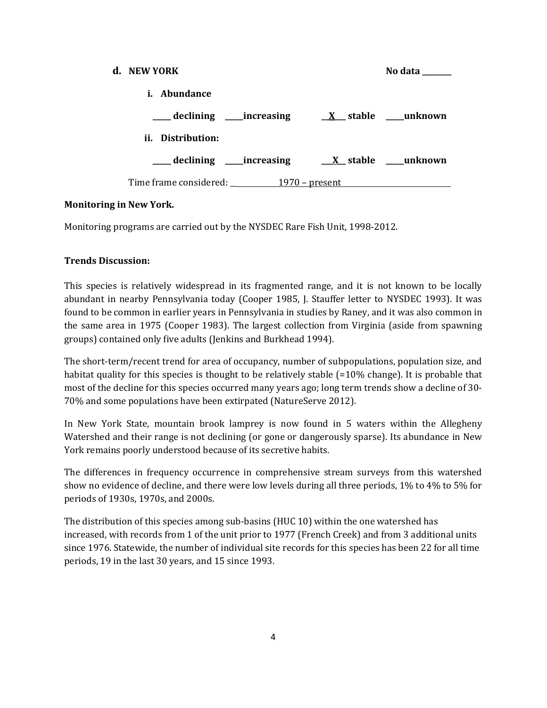| d. NEW YORK                      |                  | No data          |
|----------------------------------|------------------|------------------|
| i. Abundance                     |                  |                  |
| ____ declining ______ increasing |                  | X stable unknown |
| ii. Distribution:                |                  |                  |
| ___ declining _____increasing    |                  | X stable unknown |
|                                  | $1970$ – present |                  |

## **Monitoring in New York.**

Monitoring programs are carried out by the NYSDEC Rare Fish Unit, 1998-2012.

## **Trends Discussion:**

This species is relatively widespread in its fragmented range, and it is not known to be locally abundant in nearby Pennsylvania today (Cooper 1985, J. Stauffer letter to NYSDEC 1993). It was found to be common in earlier years in Pennsylvania in studies by Raney, and it was also common in the same area in 1975 (Cooper 1983). The largest collection from Virginia (aside from spawning groups) contained only five adults (Jenkins and Burkhead 1994).

The short-term/recent trend for area of occupancy, number of subpopulations, population size, and habitat quality for this species is thought to be relatively stable (=10% change). It is probable that most of the decline for this species occurred many years ago; long term trends show a decline of 30- 70% and some populations have been extirpated (NatureServe 2012).

In New York State, mountain brook lamprey is now found in 5 waters within the Allegheny Watershed and their range is not declining (or gone or dangerously sparse). Its abundance in New York remains poorly understood because of its secretive habits.

The differences in frequency occurrence in comprehensive stream surveys from this watershed show no evidence of decline, and there were low levels during all three periods, 1% to 4% to 5% for periods of 1930s, 1970s, and 2000s.

The distribution of this species among sub-basins (HUC 10) within the one watershed has increased, with records from 1 of the unit prior to 1977 (French Creek) and from 3 additional units since 1976. Statewide, the number of individual site records for this species has been 22 for all time periods, 19 in the last 30 years, and 15 since 1993.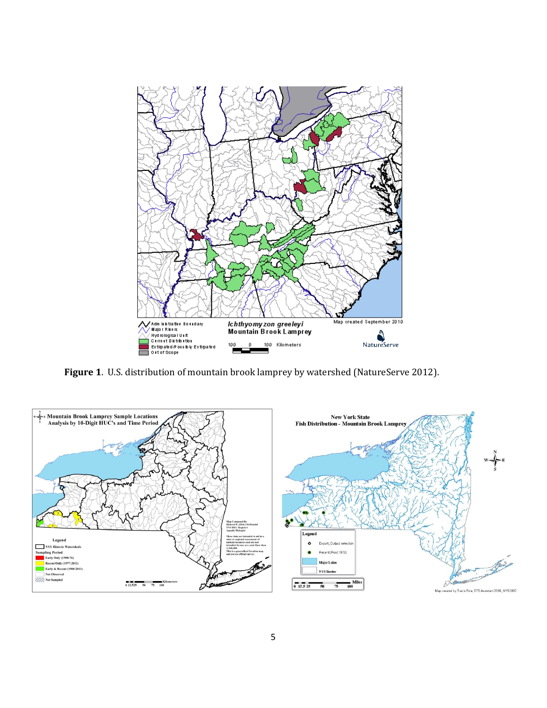

**Figure 1**. U.S. distribution of mountain brook lamprey by watershed (NatureServe 2012).

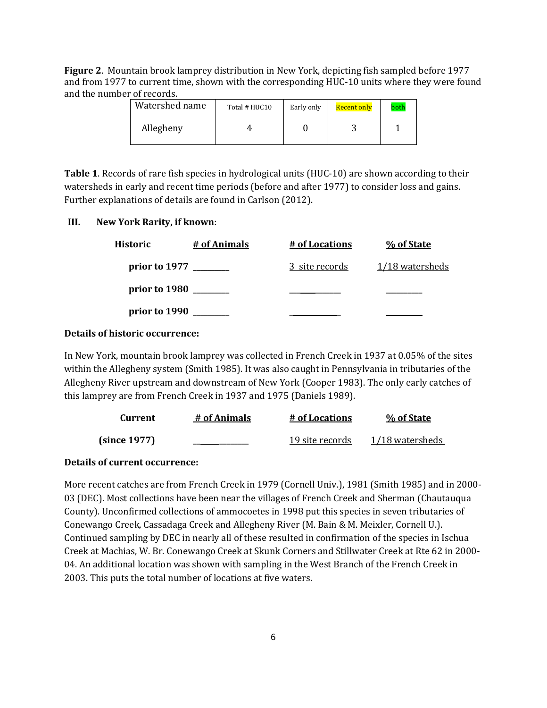**Figure 2**. Mountain brook lamprey distribution in New York, depicting fish sampled before 1977 and from 1977 to current time, shown with the corresponding HUC-10 units where they were found and the number of records.

| Watershed name | Total # HUC10 | Early only | Recent only | both |
|----------------|---------------|------------|-------------|------|
| Allegheny      |               |            |             |      |

**Table 1**. Records of rare fish species in hydrological units (HUC-10) are shown according to their watersheds in early and recent time periods (before and after 1977) to consider loss and gains. Further explanations of details are found in Carlson (2012).

#### **III. New York Rarity, if known**:

| <b>Historic</b>             | # of Animals | <u># of Locations</u> | % of State      |
|-----------------------------|--------------|-----------------------|-----------------|
| prior to 1977               |              | 3 site records        | 1/18 watersheds |
| prior to 1980 $\frac{ }{ }$ |              |                       |                 |
| prior to 1990               |              |                       |                 |

#### **Details of historic occurrence:**

In New York, mountain brook lamprey was collected in French Creek in 1937 at 0.05% of the sites within the Allegheny system (Smith 1985). It was also caught in Pennsylvania in tributaries of the Allegheny River upstream and downstream of New York (Cooper 1983). The only early catches of this lamprey are from French Creek in 1937 and 1975 (Daniels 1989).

| Current      | # of Animals | # of Locations  | % of State      |
|--------------|--------------|-----------------|-----------------|
| (since 1977) |              | 19 site records | 1/18 watersheds |

### **Details of current occurrence:**

More recent catches are from French Creek in 1979 (Cornell Univ.), 1981 (Smith 1985) and in 2000- 03 (DEC). Most collections have been near the villages of French Creek and Sherman (Chautauqua County). Unconfirmed collections of ammocoetes in 1998 put this species in seven tributaries of Conewango Creek, Cassadaga Creek and Allegheny River (M. Bain & M. Meixler, Cornell U.). Continued sampling by DEC in nearly all of these resulted in confirmation of the species in Ischua Creek at Machias, W. Br. Conewango Creek at Skunk Corners and Stillwater Creek at Rte 62 in 2000- 04. An additional location was shown with sampling in the West Branch of the French Creek in 2003. This puts the total number of locations at five waters.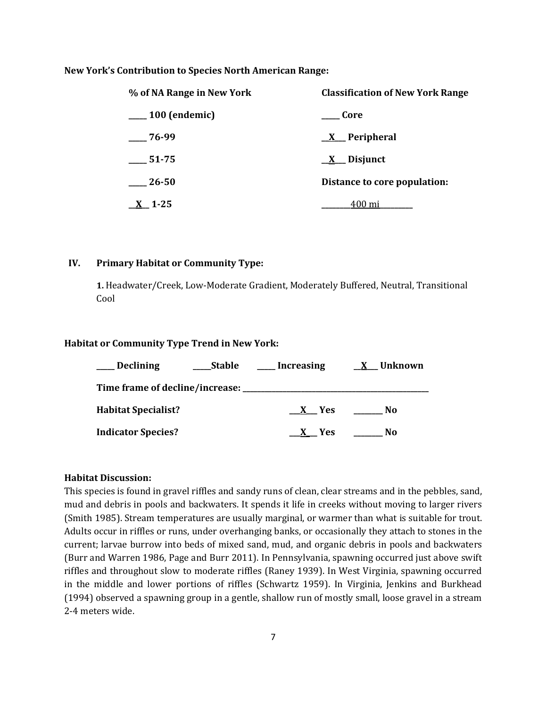#### **New York's Contribution to Species North American Range:**

| % of NA Range in New York | <b>Classification of New York Range</b> |  |
|---------------------------|-----------------------------------------|--|
| 100 (endemic)             | – Core                                  |  |
| $-76-99$                  | $X$ Peripheral                          |  |
| 51-75                     | $\underline{X}$ Disjunct                |  |
| 26-50                     | Distance to core population:            |  |
| $X_{-}$ 1-25              | 400 mi                                  |  |

#### **IV. Primary Habitat or Community Type:**

**1.** Headwater/Creek, Low-Moderate Gradient, Moderately Buffered, Neutral, Transitional Cool

#### **Habitat or Community Type Trend in New York:**

| <b>Declining</b>           | Stable | Increasing | X Unknown |
|----------------------------|--------|------------|-----------|
|                            |        |            |           |
| <b>Habitat Specialist?</b> |        | X Yes      | No.       |
| <b>Indicator Species?</b>  |        | X Yes      | No        |

#### **Habitat Discussion:**

This species is found in gravel riffles and sandy runs of clean, clear streams and in the pebbles, sand, mud and debris in pools and backwaters. It spends it life in creeks without moving to larger rivers (Smith 1985). Stream temperatures are usually marginal, or warmer than what is suitable for trout. Adults occur in riffles or runs, under overhanging banks, or occasionally they attach to stones in the current; larvae burrow into beds of mixed sand, mud, and organic debris in pools and backwaters (Burr and Warren 1986, Page and Burr 2011). In Pennsylvania, spawning occurred just above swift riffles and throughout slow to moderate riffles (Raney 1939). In West Virginia, spawning occurred in the middle and lower portions of riffles (Schwartz 1959). In Virginia, Jenkins and Burkhead (1994) observed a spawning group in a gentle, shallow run of mostly small, loose gravel in a stream 2-4 meters wide.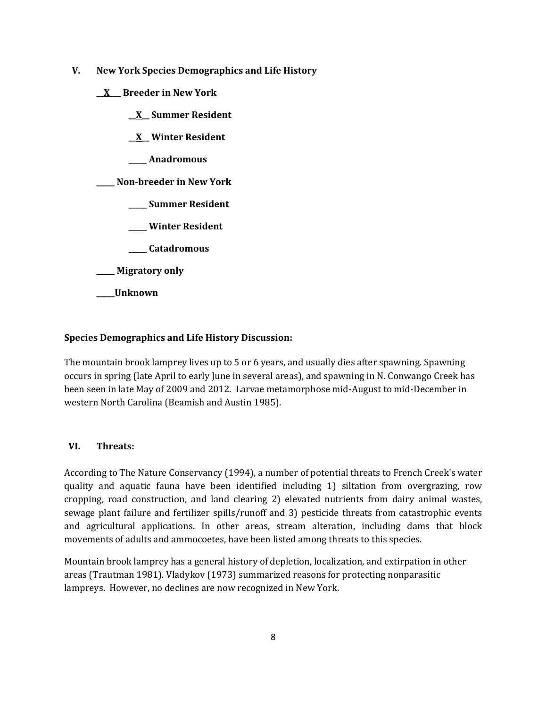- **V. New York Species Demographics and Life History**
	- **\_\_X\_\_\_ Breeder in New York**
		- **\_\_X\_\_ Summer Resident**
		- **\_\_X\_\_ Winter Resident**
		- **\_\_\_\_\_ Anadromous**

**\_\_\_\_\_ Non-breeder in New York**

- **\_\_\_\_\_ Summer Resident**
- **\_\_\_\_\_ Winter Resident**
- **\_\_\_\_\_ Catadromous**
- **\_\_\_\_\_ Migratory only**
- **\_\_\_\_\_Unknown**

## **Species Demographics and Life History Discussion:**

The mountain brook lamprey lives up to 5 or 6 years, and usually dies after spawning. Spawning occurs in spring (late April to early June in several areas), and spawning in N. Conwango Creek has been seen in late May of 2009 and 2012. Larvae metamorphose mid-August to mid-December in western North Carolina (Beamish and Austin 1985).

#### **VI. Threats:**

According to The Nature Conservancy (1994), a number of potential threats to French Creek's water quality and aquatic fauna have been identified including 1) siltation from overgrazing, row cropping, road construction, and land clearing 2) elevated nutrients from dairy animal wastes, sewage plant failure and fertilizer spills/runoff and 3) pesticide threats from catastrophic events and agricultural applications. In other areas, stream alteration, including dams that block movements of adults and ammocoetes, have been listed among threats to this species.

Mountain brook lamprey has a general history of depletion, localization, and extirpation in other areas (Trautman 1981). Vladykov (1973) summarized reasons for protecting nonparasitic lampreys. However, no declines are now recognized in New York.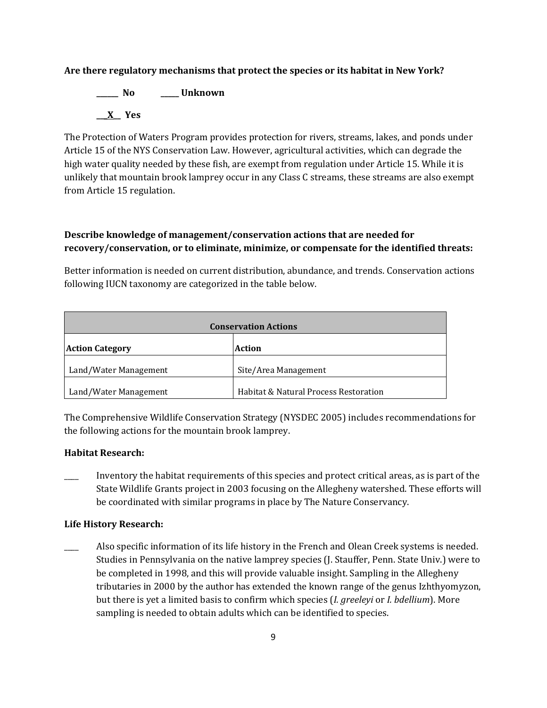#### **Are there regulatory mechanisms that protect the species or its habitat in New York?**

**\_\_\_\_\_\_ No \_\_\_\_\_ Unknown \_\_\_X\_\_ Yes** 

The Protection of Waters Program provides protection for rivers, streams, lakes, and ponds under Article 15 of the NYS Conservation Law. However, agricultural activities, which can degrade the high water quality needed by these fish, are exempt from regulation under Article 15. While it is unlikely that mountain brook lamprey occur in any Class C streams, these streams are also exempt from Article 15 regulation.

## **Describe knowledge of management/conservation actions that are needed for recovery/conservation, or to eliminate, minimize, or compensate for the identified threats:**

Better information is needed on current distribution, abundance, and trends. Conservation actions following IUCN taxonomy are categorized in the table below.

| <b>Conservation Actions</b> |                                       |  |
|-----------------------------|---------------------------------------|--|
| <b>Action Category</b>      | Action                                |  |
| Land/Water Management       | Site/Area Management                  |  |
| Land/Water Management       | Habitat & Natural Process Restoration |  |

The Comprehensive Wildlife Conservation Strategy (NYSDEC 2005) includes recommendations for the following actions for the mountain brook lamprey.

#### **Habitat Research:**

Inventory the habitat requirements of this species and protect critical areas, as is part of the State Wildlife Grants project in 2003 focusing on the Allegheny watershed. These efforts will be coordinated with similar programs in place by The Nature Conservancy.

#### **Life History Research:**

\_\_\_\_ Also specific information of its life history in the French and Olean Creek systems is needed. Studies in Pennsylvania on the native lamprey species (J. Stauffer, Penn. State Univ.) were to be completed in 1998, and this will provide valuable insight. Sampling in the Allegheny tributaries in 2000 by the author has extended the known range of the genus Izhthyomyzon, but there is yet a limited basis to confirm which species (*I. greeleyi* or *I. bdellium*). More sampling is needed to obtain adults which can be identified to species.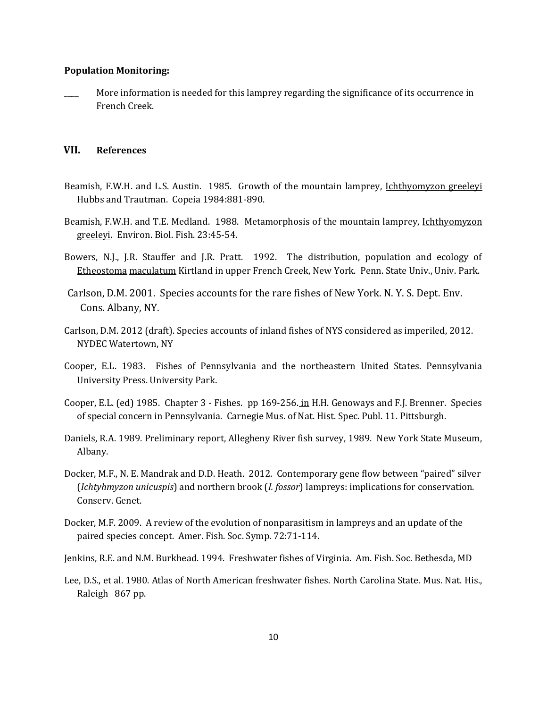#### **Population Monitoring:**

More information is needed for this lamprey regarding the significance of its occurrence in French Creek.

#### **VII. References**

- Beamish, F.W.H. and L.S. Austin. 1985. Growth of the mountain lamprey, Ichthyomyzon greeleyi Hubbs and Trautman. Copeia 1984:881-890.
- Beamish, F.W.H. and T.E. Medland. 1988. Metamorphosis of the mountain lamprey, Ichthyomyzon greeleyi. Environ. Biol. Fish. 23:45-54.
- Bowers, N.J., J.R. Stauffer and J.R. Pratt. 1992. The distribution, population and ecology of Etheostoma maculatum Kirtland in upper French Creek, New York. Penn. State Univ., Univ. Park.
- Carlson, D.M. 2001. Species accounts for the rare fishes of New York. N. Y. S. Dept. Env. Cons. Albany, NY.
- Carlson, D.M. 2012 (draft). Species accounts of inland fishes of NYS considered as imperiled, 2012. NYDEC Watertown, NY
- Cooper, E.L. 1983. Fishes of Pennsylvania and the northeastern United States. Pennsylvania University Press. University Park.
- Cooper, E.L. (ed) 1985. Chapter 3 Fishes. pp 169-256. in H.H. Genoways and F.J. Brenner. Species of special concern in Pennsylvania. Carnegie Mus. of Nat. Hist. Spec. Publ. 11. Pittsburgh.
- Daniels, R.A. 1989. Preliminary report, Allegheny River fish survey, 1989. New York State Museum, Albany.
- Docker, M.F., N. E. Mandrak and D.D. Heath. 2012. Contemporary gene flow between "paired" silver (*Ichtyhmyzon unicuspis*) and northern brook (*I. fossor*) lampreys: implications for conservation. Conserv. Genet.
- Docker, M.F. 2009. A review of the evolution of nonparasitism in lampreys and an update of the paired species concept. Amer. Fish. Soc. Symp. 72:71-114.
- Jenkins, R.E. and N.M. Burkhead. 1994. Freshwater fishes of Virginia. Am. Fish. Soc. Bethesda, MD
- Lee, D.S., et al. 1980. Atlas of North American freshwater fishes. North Carolina State. Mus. Nat. His., Raleigh 867 pp.